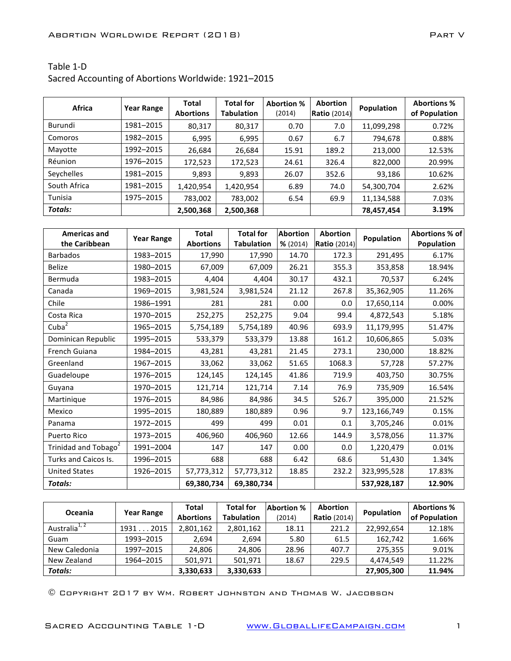## Table 1-D

Sacred Accounting of Abortions Worldwide: 1921-2015

| <b>Africa</b>  | <b>Year Range</b> | <b>Total</b><br><b>Abortions</b> | <b>Total for</b><br><b>Tabulation</b> | <b>Abortion %</b><br>(2014) | <b>Abortion</b><br><b>Ratio</b> (2014) | Population | <b>Abortions %</b><br>of Population |
|----------------|-------------------|----------------------------------|---------------------------------------|-----------------------------|----------------------------------------|------------|-------------------------------------|
| Burundi        | 1981-2015         | 80,317                           | 80,317                                | 0.70                        | 7.0                                    | 11,099,298 | 0.72%                               |
| Comoros        | 1982-2015         | 6,995                            | 6,995                                 | 0.67                        | 6.7                                    | 794,678    | 0.88%                               |
| Mayotte        | 1992-2015         | 26,684                           | 26,684                                | 15.91                       | 189.2                                  | 213,000    | 12.53%                              |
| Réunion        | 1976-2015         | 172,523                          | 172,523                               | 24.61                       | 326.4                                  | 822,000    | 20.99%                              |
| Seychelles     | 1981-2015         | 9,893                            | 9,893                                 | 26.07                       | 352.6                                  | 93,186     | 10.62%                              |
| South Africa   | 1981-2015         | 1,420,954                        | 1,420,954                             | 6.89                        | 74.0                                   | 54,300,704 | 2.62%                               |
| Tunisia        | 1975-2015         | 783,002                          | 783,002                               | 6.54                        | 69.9                                   | 11,134,588 | 7.03%                               |
| <b>Totals:</b> |                   | 2,500,368                        | 2,500,368                             |                             |                                        | 78,457,454 | 3.19%                               |

| <b>Americas and</b>              | <b>Year Range</b> | <b>Total</b>     | <b>Total for</b>  | <b>Abortion</b> | <b>Abortion</b>     | Population  | Abortions % of |
|----------------------------------|-------------------|------------------|-------------------|-----------------|---------------------|-------------|----------------|
| the Caribbean                    |                   | <b>Abortions</b> | <b>Tabulation</b> | % (2014)        | <b>Ratio</b> (2014) |             | Population     |
| <b>Barbados</b>                  | 1983-2015         | 17,990           | 17,990            | 14.70           | 172.3               | 291,495     | 6.17%          |
| <b>Belize</b>                    | 1980-2015         | 67,009           | 67,009            | 26.21           | 355.3               | 353,858     | 18.94%         |
| Bermuda                          | 1983-2015         | 4,404            | 4,404             | 30.17           | 432.1               | 70,537      | 6.24%          |
| Canada                           | 1969-2015         | 3,981,524        | 3,981,524         | 21.12           | 267.8               | 35,362,905  | 11.26%         |
| Chile                            | 1986-1991         | 281              | 281               | 0.00            | 0.0                 | 17,650,114  | 0.00%          |
| Costa Rica                       | 1970-2015         | 252,275          | 252,275           | 9.04            | 99.4                | 4,872,543   | 5.18%          |
| Cuba <sup>2</sup>                | 1965-2015         | 5,754,189        | 5,754,189         | 40.96           | 693.9               | 11,179,995  | 51.47%         |
| Dominican Republic               | 1995-2015         | 533,379          | 533,379           | 13.88           | 161.2               | 10,606,865  | 5.03%          |
| French Guiana                    | 1984-2015         | 43,281           | 43,281            | 21.45           | 273.1               | 230,000     | 18.82%         |
| Greenland                        | 1967-2015         | 33,062           | 33,062            | 51.65           | 1068.3              | 57,728      | 57.27%         |
| Guadeloupe                       | 1976-2015         | 124,145          | 124,145           | 41.86           | 719.9               | 403,750     | 30.75%         |
| Guyana                           | 1970-2015         | 121,714          | 121,714           | 7.14            | 76.9                | 735,909     | 16.54%         |
| Martinique                       | 1976-2015         | 84,986           | 84,986            | 34.5            | 526.7               | 395,000     | 21.52%         |
| Mexico                           | 1995-2015         | 180,889          | 180,889           | 0.96            | 9.7                 | 123,166,749 | 0.15%          |
| Panama                           | 1972-2015         | 499              | 499               | 0.01            | 0.1                 | 3,705,246   | 0.01%          |
| Puerto Rico                      | 1973-2015         | 406,960          | 406,960           | 12.66           | 144.9               | 3,578,056   | 11.37%         |
| Trinidad and Tobago <sup>2</sup> | 1991-2004         | 147              | 147               | 0.00            | 0.0                 | 1,220,479   | 0.01%          |
| Turks and Caicos Is.             | 1996-2015         | 688              | 688               | 6.42            | 68.6                | 51,430      | 1.34%          |
| <b>United States</b>             | 1926-2015         | 57,773,312       | 57,773,312        | 18.85           | 232.2               | 323,995,528 | 17.83%         |
| <b>Totals:</b>                   |                   | 69,380,734       | 69,380,734        |                 |                     | 537,928,187 | 12.90%         |

| Oceania                   | <b>Year Range</b> | Total<br><b>Abortions</b> | <b>Total for</b><br><b>Tabulation</b> | Abortion %<br>(2014) | <b>Abortion</b><br><b>Ratio</b> (2014) | <b>Population</b> | <b>Abortions %</b><br>of Population |
|---------------------------|-------------------|---------------------------|---------------------------------------|----------------------|----------------------------------------|-------------------|-------------------------------------|
| Australia <sup>1, 2</sup> | 2015<br>1931      | 2,801,162                 | 2,801,162                             | 18.11                | 221.2                                  | 22.992.654        | 12.18%                              |
| Guam                      | 1993-2015         | 2.694                     | 2.694                                 | 5.80                 | 61.5                                   | 162.742           | 1.66%                               |
| New Caledonia             | 1997-2015         | 24.806                    | 24.806                                | 28.96                | 407.7                                  | 275.355           | 9.01%                               |
| New Zealand               | 1964-2015         | 501.971                   | 501.971                               | 18.67                | 229.5                                  | 4.474.549         | 11.22%                              |
| <b>Totals:</b>            |                   | 3,330,633                 | 3,330,633                             |                      |                                        | 27,905,300        | 11.94%                              |

© Copyright 2017 by Wm. Robert Johnston and Thomas W. Jacobson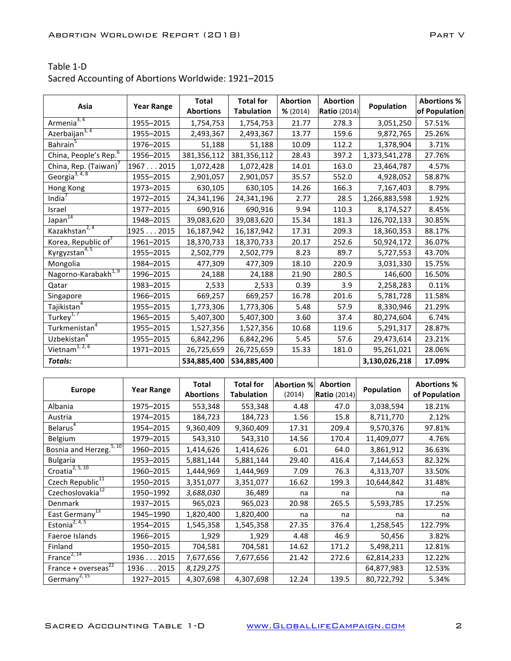| Table 1-D |  |
|-----------|--|
|           |  |

Sacred Accounting of Abortions Worldwide: 1921-2015

| Asia                              | <b>Year Range</b> | <b>Total</b><br><b>Abortions</b> | <b>Total for</b><br><b>Tabulation</b> | <b>Abortion</b> | <b>Abortion</b>     | Population    | <b>Abortions %</b> |
|-----------------------------------|-------------------|----------------------------------|---------------------------------------|-----------------|---------------------|---------------|--------------------|
| Armenia <sup>3, 4</sup>           |                   |                                  |                                       | % (2014)        | <b>Ratio</b> (2014) |               | of Population      |
|                                   | 1955-2015         | 1,754,753                        | 1,754,753                             | 21.77           | 278.3               | 3,051,250     | 57.51%             |
| Azerbaijan <sup>3, 4</sup>        | 1955-2015         | 2,493,367                        | 2,493,367                             | 13.77           | 159.6               | 9,872,765     | 25.26%             |
| Bahrain <sup>5</sup>              | 1976-2015         | 51,188                           | 51,188                                | 10.09           | 112.2               | 1,378,904     | 3.71%              |
| China, People's Rep. <sup>6</sup> | 1956-2015         | 381,356,112                      | 381,356,112                           | 28.43           | 397.2               | 1,373,541,278 | 27.76%             |
| China, Rep. (Taiwan)              | 19672015          | 1,072,428                        | 1,072,428                             | 14.01           | 163.0               | 23,464,787    | 4.57%              |
| Georgia <sup>3, 4, 8</sup>        | 1955-2015         | 2,901,057                        | 2,901,057                             | 35.57           | 552.0               | 4,928,052     | 58.87%             |
| Hong Kong                         | 1973-2015         | 630,105                          | 630,105                               | 14.26           | 166.3               | 7,167,403     | 8.79%              |
| India $\overline{a}$              | 1972-2015         | 24,341,196                       | 24,341,196                            | 2.77            | 28.5                | 1,266,883,598 | 1.92%              |
| Israel                            | 1977-2015         | 690,916                          | 690,916                               | 9.94            | 110.3               | 8,174,527     | 8.45%              |
| Japan <sup>14</sup>               | 1948-2015         | 39,083,620                       | 39,083,620                            | 15.34           | 181.3               | 126,702,133   | 30.85%             |
| Kazakhstan <sup>2, 4</sup>        | 1925 2015         | 16,187,942                       | 16,187,942                            | 17.31           | 209.3               | 18,360,353    | 88.17%             |
| Korea, Republic of <sup>7</sup>   | 1961-2015         | 18,370,733                       | 18,370,733                            | 20.17           | 252.6               | 50,924,172    | 36.07%             |
| Kyrgyzstan <sup>4, 5</sup>        | 1955-2015         | 2,502,779                        | 2,502,779                             | 8.23            | 89.7                | 5,727,553     | 43.70%             |
| Mongolia                          | 1984-2015         | 477,309                          | 477,309                               | 18.10           | 220.9               | 3,031,330     | 15.75%             |
| Nagorno-Karabakh <sup>1, 9</sup>  | 1996-2015         | 24,188                           | 24,188                                | 21.90           | 280.5               | 146,600       | 16.50%             |
| Qatar                             | 1983-2015         | 2,533                            | 2,533                                 | 0.39            | 3.9                 | 2,258,283     | 0.11%              |
| Singapore                         | 1966-2015         | 669,257                          | 669,257                               | 16.78           | 201.6               | 5,781,728     | 11.58%             |
| Tajikistan <sup>4</sup>           | 1955-2015         | 1,773,306                        | 1,773,306                             | 5.48            | 57.9                | 8,330,946     | 21.29%             |
| Turkey <sup>1, 7</sup>            | 1965-2015         | 5,407,300                        | 5,407,300                             | 3.60            | 37.4                | 80,274,604    | 6.74%              |
| Turkmenistan <sup>4</sup>         | 1955-2015         | 1,527,356                        | 1,527,356                             | 10.68           | 119.6               | 5,291,317     | 28.87%             |
| Uzbekistan <sup>4</sup>           | 1955-2015         | 6,842,296                        | 6,842,296                             | 5.45            | 57.6                | 29,473,614    | 23.21%             |
| Vietnam <sup>1, 2, 6</sup>        | 1971-2015         | 26,725,659                       | 26,725,659                            | 15.33           | 181.0               | 95,261,021    | 28.06%             |
| <b>Totals:</b>                    |                   | 534,885,400                      | 534,885,400                           |                 |                     | 3,130,026,218 | 17.09%             |

| <b>Europe</b>                        | <b>Year Range</b> | Total<br><b>Abortions</b> | <b>Total for</b><br><b>Tabulation</b> | <b>Abortion %</b><br>(2014) | Abortion<br><b>Ratio</b> (2014) | Population | <b>Abortions %</b><br>of Population |
|--------------------------------------|-------------------|---------------------------|---------------------------------------|-----------------------------|---------------------------------|------------|-------------------------------------|
| Albania                              | 1975-2015         | 553,348                   | 553,348                               | 4.48                        | 47.0                            | 3,038,594  | 18.21%                              |
| Austria                              | 1974-2015         | 184,723                   | 184,723                               | 1.56                        | 15.8                            | 8,711,770  | 2.12%                               |
| Belarus <sup>4</sup>                 | 1954-2015         | 9,360,409                 | 9,360,409                             | 17.31                       | 209.4                           | 9,570,376  | 97.81%                              |
| Belgium                              | 1979-2015         | 543,310                   | 543,310                               | 14.56                       | 170.4                           | 11,409,077 | 4.76%                               |
| Bosnia and Herzeg. <sup>5, 10</sup>  | 1960-2015         | 1,414,626                 | 1,414,626                             | 6.01                        | 64.0                            | 3,861,912  | 36.63%                              |
| <b>Bulgaria</b>                      | 1953-2015         | 5,881,144                 | 5,881,144                             | 29.40                       | 416.4                           | 7,144,653  | 82.32%                              |
| Croatia <sup>2, 5, 10</sup>          | 1960-2015         | 1,444,969                 | 1,444,969                             | 7.09                        | 76.3                            | 4,313,707  | 33.50%                              |
| Czech Republic <sup>11</sup>         | 1950-2015         | 3,351,077                 | 3,351,077                             | 16.62                       | 199.3                           | 10,644,842 | 31.48%                              |
| Czechoslovakia <sup>12</sup>         | 1950-1992         | 3,688,030                 | 36,489                                | na                          | na                              | na         | na                                  |
| Denmark                              | 1937-2015         | 965,023                   | 965,023                               | 20.98                       | 265.5                           | 5,593,785  | 17.25%                              |
| 13<br>East Germany                   | 1945-1990         | 1,820,400                 | 1,820,400                             | na                          | na                              | na         | na                                  |
| Estonia <sup>2, 4, 5</sup>           | 1954-2015         | 1,545,358                 | 1,545,358                             | 27.35                       | 376.4                           | 1,258,545  | 122.79%                             |
| Faeroe Islands                       | 1966-2015         | 1,929                     | 1,929                                 | 4.48                        | 46.9                            | 50,456     | 3.82%                               |
| Finland                              | 1950-2015         | 704,581                   | 704,581                               | 14.62                       | 171.2                           | 5,498,211  | 12.81%                              |
| France $2, 14$                       | 19362015          | 7,677,656                 | 7,677,656                             | 21.42                       | 272.6                           | 62,814,233 | 12.22%                              |
| 22<br>France + overseas <sup>4</sup> | 19362015          | 8,129,275                 |                                       |                             |                                 | 64,877,983 | 12.53%                              |
| Germany <sup>2, 15</sup>             | 1927-2015         | 4,307,698                 | 4,307,698                             | 12.24                       | 139.5                           | 80,722,792 | 5.34%                               |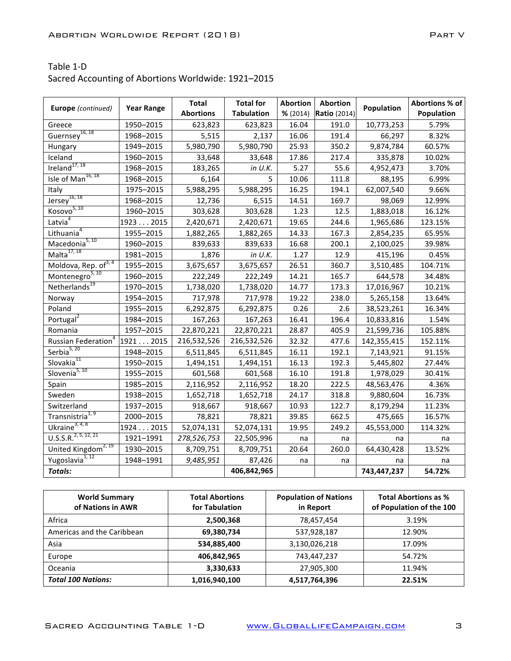| Table 1-D                                           |  |
|-----------------------------------------------------|--|
| Sacred Accounting of Abortions Worldwide: 1921-2015 |  |

| <b>Europe</b> (continued)              | <b>Year Range</b> | <b>Total</b><br><b>Abortions</b> | <b>Total for</b><br><b>Tabulation</b> | <b>Abortion</b><br>% (2014) | <b>Abortion</b><br><b>Ratio</b> (2014) | Population  | Abortions % of<br>Population |
|----------------------------------------|-------------------|----------------------------------|---------------------------------------|-----------------------------|----------------------------------------|-------------|------------------------------|
| Greece                                 | 1950-2015         | 623,823                          | 623,823                               | 16.04                       | 191.0                                  | 10,773,253  | 5.79%                        |
| Guernsey <sup>16, 18</sup>             | 1968-2015         | 5,515                            | 2,137                                 | 16.06                       | 191.4                                  | 66,297      | 8.32%                        |
| Hungary                                | 1949-2015         | 5,980,790                        | 5,980,790                             | 25.93                       | 350.2                                  | 9,874,784   | 60.57%                       |
| Iceland                                | 1960-2015         | 33,648                           | 33,648                                | 17.86                       | 217.4                                  | 335,878     | 10.02%                       |
| Ireland $17,18$                        | 1968-2015         | 183,265                          | in U.K.                               | 5.27                        | 55.6                                   | 4,952,473   | 3.70%                        |
| Isle of Man <sup>16, 18</sup>          | 1968-2015         | 6,164                            | 5                                     | 10.06                       | 111.8                                  | 88,195      | 6.99%                        |
| Italy                                  | 1975-2015         | 5,988,295                        | 5,988,295                             | 16.25                       | 194.1                                  | 62,007,540  | 9.66%                        |
| $Jersey^{16, 18}$                      | 1968-2015         | 12,736                           | 6,515                                 | 14.51                       | 169.7                                  | 98,069      | 12.99%                       |
| Kosovo <sup>5, 10</sup>                | 1960-2015         | 303,628                          | 303,628                               | 1.23                        | 12.5                                   | 1,883,018   | 16.12%                       |
| Latvia $4$                             | 1923 2015         | 2,420,671                        | 2,420,671                             | 19.65                       | 244.6                                  | 1,965,686   | 123.15%                      |
| Lithuania <sup>4</sup>                 | 1955-2015         | 1,882,265                        | 1,882,265                             | 14.33                       | 167.3                                  | 2,854,235   | 65.95%                       |
| Macedonia <sup>5, 10</sup>             | 1960-2015         | 839,633                          | 839,633                               | 16.68                       | 200.1                                  | 2,100,025   | 39.98%                       |
| Malta $\overline{^{17,18}}$            | 1981-2015         | 1,876                            | in $U.K.$                             | 1.27                        | 12.9                                   | 415,196     | 0.45%                        |
| Moldova, Rep. of <sup>3, 4</sup>       | 1955-2015         | 3,675,657                        | 3,675,657                             | 26.51                       | 360.7                                  | 3,510,485   | 104.71%                      |
| Montenegro <sup>5, 10</sup>            | 1960-2015         | 222,249                          | 222,249                               | 14.21                       | 165.7                                  | 644,578     | 34.48%                       |
| Netherlands <sup>19</sup>              | 1970-2015         | 1,738,020                        | 1,738,020                             | 14.77                       | 173.3                                  | 17,016,967  | 10.21%                       |
| Norway                                 | 1954-2015         | 717,978                          | 717,978                               | 19.22                       | 238.0                                  | 5,265,158   | 13.64%                       |
| Poland                                 | 1955-2015         | 6,292,875                        | 6,292,875                             | 0.26                        | 2.6                                    | 38,523,261  | 16.34%                       |
| Portugal <sup>2</sup>                  | 1984-2015         | 167,263                          | 167,263                               | 16.41                       | 196.4                                  | 10,833,816  | 1.54%                        |
| Romania                                | 1957-2015         | 22,870,221                       | 22,870,221                            | 28.87                       | 405.9                                  | 21,599,736  | 105.88%                      |
| <b>Russian Federation</b> <sup>4</sup> | 19212015          | 216,532,526                      | 216,532,526                           | 32.32                       | 477.6                                  | 142,355,415 | 152.11%                      |
| Serbia <sup>5, 20</sup>                | 1948-2015         | 6,511,845                        | 6,511,845                             | 16.11                       | 192.1                                  | 7,143,921   | 91.15%                       |
| Slovakia <sup>11</sup>                 | 1950-2015         | 1,494,151                        | 1,494,151                             | 16.13                       | 192.3                                  | 5,445,802   | 27.44%                       |
| Slovenia <sup>5, 10</sup>              | 1955-2015         | 601,568                          | 601,568                               | 16.10                       | 191.8                                  | 1,978,029   | 30.41%                       |
| Spain                                  | 1985-2015         | 2,116,952                        | 2,116,952                             | 18.20                       | 222.5                                  | 48,563,476  | 4.36%                        |
| Sweden                                 | 1938-2015         | 1,652,718                        | 1,652,718                             | 24.17                       | 318.8                                  | 9,880,604   | 16.73%                       |
| Switzerland                            | 1937-2015         | 918,667                          | 918,667                               | 10.93                       | 122.7                                  | 8,179,294   | 11.23%                       |
| Transnistria <sup>1, 9</sup>           | 2000-2015         | 78,821                           | 78,821                                | 39.85                       | 662.5                                  | 475,665     | 16.57%                       |
| Ukraine $3, 4, 8$                      | 19242015          | 52,074,131                       | 52,074,131                            | 19.95                       | 249.2                                  | 45,553,000  | 114.32%                      |
| U.S.S.R. <sup>2, 5, 12, 21</sup>       | 1921-1991         | 278,526,753                      | 22,505,996                            | na                          | na                                     | na          | na                           |
| United Kingdom <sup>2, 19</sup>        | 1930-2015         | 8,709,751                        | 8,709,751                             | 20.64                       | 260.0                                  | 64,430,428  | 13.52%                       |
| Yugoslavia <sup>1, 12</sup>            | 1948-1991         | 9,485,951                        | 87,426                                | na                          | na                                     | na          | na                           |
| Totals:                                |                   |                                  | 406,842,965                           |                             |                                        | 743,447,237 | 54.72%                       |

| <b>World Summary</b><br>of Nations in AWR | <b>Total Abortions</b><br>for Tabulation | <b>Population of Nations</b><br>in Report | <b>Total Abortions as %</b><br>of Population of the 100 |
|-------------------------------------------|------------------------------------------|-------------------------------------------|---------------------------------------------------------|
| Africa                                    | 2,500,368                                | 78,457,454                                | 3.19%                                                   |
| Americas and the Caribbean                | 69,380,734                               | 537,928,187                               | 12.90%                                                  |
| Asia                                      | 534,885,400                              | 3,130,026,218                             | 17.09%                                                  |
| Europe                                    | 406,842,965                              | 743,447,237                               | 54.72%                                                  |
| Oceania                                   | 3,330,633                                | 27,905,300                                | 11.94%                                                  |
| <b>Total 100 Nations:</b>                 | 1,016,940,100                            | 4,517,764,396                             | 22.51%                                                  |